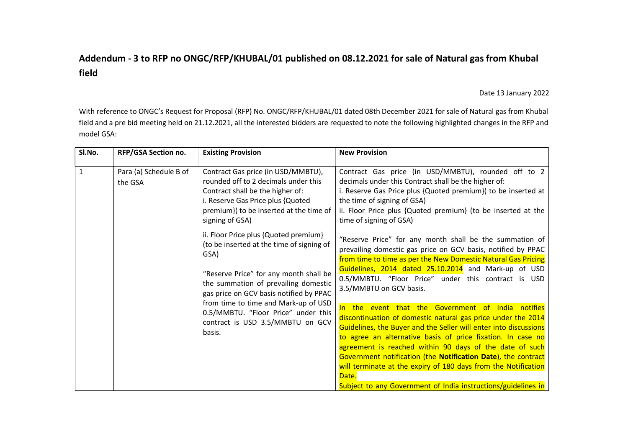## Addendum - 3 to RFP no ONGC/RFP/KHUBAL/01 published on 08.12.2021 for sale of Natural gas from Khubal field

## Date 13 January 2022

With reference to ONGC's Request for Proposal (RFP) No. ONGC/RFP/KHUBAL/01 dated 08th December 2021 for sale of Natural gas from Khubal field and a pre bid meeting held on 21.12.2021, all the interested bidders are requested to note the following highlighted changes in the RFP and model GSA:

| SI.No.       | RFP/GSA Section no.               | <b>Existing Provision</b>                                                                                                                                                                                                                                                                                                                            | <b>New Provision</b>                                                                                                                                                                                                                                                                                                                                                                                                                                                                                                          |  |  |
|--------------|-----------------------------------|------------------------------------------------------------------------------------------------------------------------------------------------------------------------------------------------------------------------------------------------------------------------------------------------------------------------------------------------------|-------------------------------------------------------------------------------------------------------------------------------------------------------------------------------------------------------------------------------------------------------------------------------------------------------------------------------------------------------------------------------------------------------------------------------------------------------------------------------------------------------------------------------|--|--|
| $\mathbf{1}$ | Para (a) Schedule B of<br>the GSA | Contract Gas price (in USD/MMBTU),<br>rounded off to 2 decimals under this<br>Contract shall be the higher of:<br>i. Reserve Gas Price plus {Quoted<br>premium}( to be inserted at the time of<br>signing of GSA)                                                                                                                                    | Contract Gas price (in USD/MMBTU), rounded off to 2<br>decimals under this Contract shall be the higher of:<br>i. Reserve Gas Price plus {Quoted premium}( to be inserted at<br>the time of signing of GSA)<br>ii. Floor Price plus {Quoted premium} (to be inserted at the<br>time of signing of GSA)                                                                                                                                                                                                                        |  |  |
|              |                                   | ii. Floor Price plus {Quoted premium}<br>(to be inserted at the time of signing of<br>GSA)<br>"Reserve Price" for any month shall be<br>the summation of prevailing domestic<br>gas price on GCV basis notified by PPAC<br>from time to time and Mark-up of USD<br>0.5/MMBTU. "Floor Price" under this<br>contract is USD 3.5/MMBTU on GCV<br>basis. | "Reserve Price" for any month shall be the summation of<br>prevailing domestic gas price on GCV basis, notified by PPAC<br>from time to time as per the New Domestic Natural Gas Pricing<br>Guidelines, 2014 dated 25.10.2014 and Mark-up of USD<br>0.5/MMBTU. "Floor Price" under this contract is USD<br>3.5/MMBTU on GCV basis.                                                                                                                                                                                            |  |  |
|              |                                   |                                                                                                                                                                                                                                                                                                                                                      | In the event that the Government of India notifies<br>discontinuation of domestic natural gas price under the 2014<br>Guidelines, the Buyer and the Seller will enter into discussions<br>to agree an alternative basis of price fixation. In case no<br>agreement is reached within 90 days of the date of such<br>Government notification (the Notification Date), the contract<br>will terminate at the expiry of 180 days from the Notification<br>Date.<br>Subject to any Government of India instructions/guidelines in |  |  |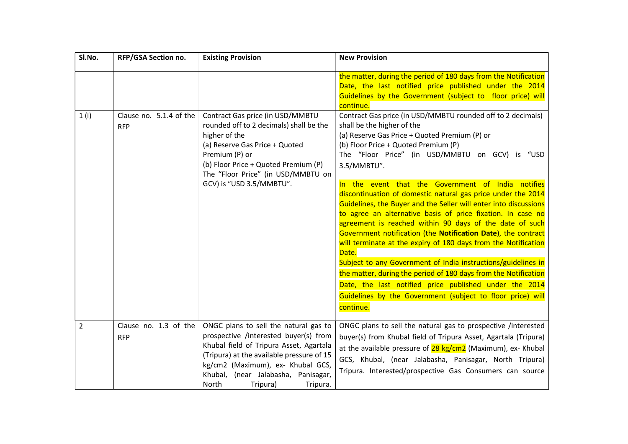| SI.No.         | RFP/GSA Section no.                   | <b>Existing Provision</b>                                                                                                                                                                                                                                                           | <b>New Provision</b>                                                                                                                                                                                                                                                                                                                                                                                                                                                                                                                                                                                                                                                                                                                                                                                                                                                                                                                                                                                                                                                                                                                                                                                  |
|----------------|---------------------------------------|-------------------------------------------------------------------------------------------------------------------------------------------------------------------------------------------------------------------------------------------------------------------------------------|-------------------------------------------------------------------------------------------------------------------------------------------------------------------------------------------------------------------------------------------------------------------------------------------------------------------------------------------------------------------------------------------------------------------------------------------------------------------------------------------------------------------------------------------------------------------------------------------------------------------------------------------------------------------------------------------------------------------------------------------------------------------------------------------------------------------------------------------------------------------------------------------------------------------------------------------------------------------------------------------------------------------------------------------------------------------------------------------------------------------------------------------------------------------------------------------------------|
| 1(i)           | Clause no. 5.1.4 of the<br><b>RFP</b> | Contract Gas price (in USD/MMBTU<br>rounded off to 2 decimals) shall be the<br>higher of the<br>(a) Reserve Gas Price + Quoted<br>Premium (P) or<br>(b) Floor Price + Quoted Premium (P)<br>The "Floor Price" (in USD/MMBTU on<br>GCV) is "USD 3.5/MMBTU".                          | the matter, during the period of 180 days from the Notification<br>Date, the last notified price published under the 2014<br>Guidelines by the Government (subject to floor price) will<br>continue.<br>Contract Gas price (in USD/MMBTU rounded off to 2 decimals)<br>shall be the higher of the<br>(a) Reserve Gas Price + Quoted Premium (P) or<br>(b) Floor Price + Quoted Premium (P)<br>The "Floor Price" (in USD/MMBTU on GCV) is "USD<br>3.5/MMBTU".<br>In the event that the Government of India notifies<br>discontinuation of domestic natural gas price under the 2014<br>Guidelines, the Buyer and the Seller will enter into discussions<br>to agree an alternative basis of price fixation. In case no<br>agreement is reached within 90 days of the date of such<br>Government notification (the Notification Date), the contract<br>will terminate at the expiry of 180 days from the Notification<br>Date.<br>Subject to any Government of India instructions/guidelines in<br>the matter, during the period of 180 days from the Notification<br>Date, the last notified price published under the 2014<br>Guidelines by the Government (subject to floor price) will<br>continue. |
| $\overline{2}$ | Clause no. 1.3 of the<br><b>RFP</b>   | ONGC plans to sell the natural gas to<br>prospective /interested buyer(s) from<br>Khubal field of Tripura Asset, Agartala<br>(Tripura) at the available pressure of 15<br>kg/cm2 (Maximum), ex- Khubal GCS,<br>Khubal, (near Jalabasha, Panisagar,<br>North<br>Tripura)<br>Tripura. | ONGC plans to sell the natural gas to prospective /interested<br>buyer(s) from Khubal field of Tripura Asset, Agartala (Tripura)<br>at the available pressure of 28 kg/cm2 (Maximum), ex- Khubal<br>GCS, Khubal, (near Jalabasha, Panisagar, North Tripura)<br>Tripura. Interested/prospective Gas Consumers can source                                                                                                                                                                                                                                                                                                                                                                                                                                                                                                                                                                                                                                                                                                                                                                                                                                                                               |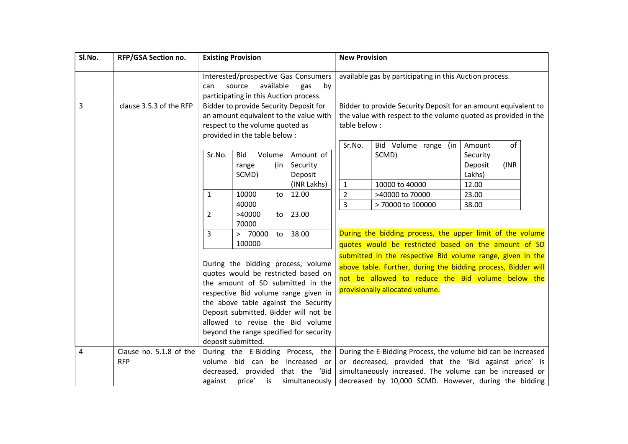| SI.No.         | RFP/GSA Section no.                                                       | <b>Existing Provision</b>                                                                                                                                                                      |                                                                                                                                                                                  | <b>New Provision</b>                                    |                                                                                                                                                                                                                                              |                                                                                                                   |                                                        |  |
|----------------|---------------------------------------------------------------------------|------------------------------------------------------------------------------------------------------------------------------------------------------------------------------------------------|----------------------------------------------------------------------------------------------------------------------------------------------------------------------------------|---------------------------------------------------------|----------------------------------------------------------------------------------------------------------------------------------------------------------------------------------------------------------------------------------------------|-------------------------------------------------------------------------------------------------------------------|--------------------------------------------------------|--|
|                |                                                                           | Interested/prospective Gas Consumers<br>available<br>source<br>gas<br>by<br>can                                                                                                                |                                                                                                                                                                                  | available gas by participating in this Auction process. |                                                                                                                                                                                                                                              |                                                                                                                   |                                                        |  |
| $\overline{3}$ | clause 3.5.3 of the RFP                                                   | participating in this Auction process.<br>Bidder to provide Security Deposit for<br>an amount equivalent to the value with<br>respect to the volume quoted as<br>provided in the table below : |                                                                                                                                                                                  | table below:                                            | Bidder to provide Security Deposit for an amount equivalent to<br>the value with respect to the volume quoted as provided in the                                                                                                             |                                                                                                                   |                                                        |  |
|                |                                                                           | Sr.No.                                                                                                                                                                                         | <b>Bid</b><br>Volume<br>(in<br>range<br>SCMD)                                                                                                                                    | Amount of<br>Security<br>Deposit                        | Sr.No.                                                                                                                                                                                                                                       | Bid Volume range (in<br>SCMD)                                                                                     | of<br>Amount<br>Security<br>Deposit<br>(INR)<br>Lakhs) |  |
|                |                                                                           | 1                                                                                                                                                                                              | 10000<br>to<br>40000                                                                                                                                                             | (INR Lakhs)<br>12.00                                    | $\mathbf{1}$<br>$\overline{2}$<br>$\overline{3}$                                                                                                                                                                                             | 10000 to 40000<br>>40000 to 70000<br>> 70000 to 100000                                                            | 12.00<br>23.00<br>38.00                                |  |
|                |                                                                           | $\overline{2}$                                                                                                                                                                                 | >40000<br>to<br>70000                                                                                                                                                            | 23.00                                                   |                                                                                                                                                                                                                                              |                                                                                                                   |                                                        |  |
|                |                                                                           | 3                                                                                                                                                                                              | > 70000<br>to<br>100000                                                                                                                                                          | 38.00                                                   |                                                                                                                                                                                                                                              | During the bidding process, the upper limit of the volume<br>quotes would be restricted based on the amount of SD |                                                        |  |
|                | During the bidding process, volume<br>quotes would be restricted based on |                                                                                                                                                                                                | submitted in the respective Bid volume range, given in the<br>above table. Further, during the bidding process, Bidder will<br>not be allowed to reduce the Bid volume below the |                                                         |                                                                                                                                                                                                                                              |                                                                                                                   |                                                        |  |
|                |                                                                           | the amount of SD submitted in the<br>respective Bid volume range given in<br>the above table against the Security<br>Deposit submitted. Bidder will not be                                     |                                                                                                                                                                                  |                                                         |                                                                                                                                                                                                                                              | provisionally allocated volume.                                                                                   |                                                        |  |
|                |                                                                           | allowed to revise the Bid volume<br>beyond the range specified for security<br>deposit submitted.                                                                                              |                                                                                                                                                                                  |                                                         |                                                                                                                                                                                                                                              |                                                                                                                   |                                                        |  |
| 4              | Clause no. 5.1.8 of the<br><b>RFP</b>                                     | During the E-Bidding Process, the<br>volume bid can be increased<br><b>or</b><br>decreased, provided that the 'Bid<br>against<br>price'<br>is<br>simultaneously                                |                                                                                                                                                                                  |                                                         | During the E-Bidding Process, the volume bid can be increased<br>or decreased, provided that the 'Bid against price' is<br>simultaneously increased. The volume can be increased or<br>decreased by 10,000 SCMD. However, during the bidding |                                                                                                                   |                                                        |  |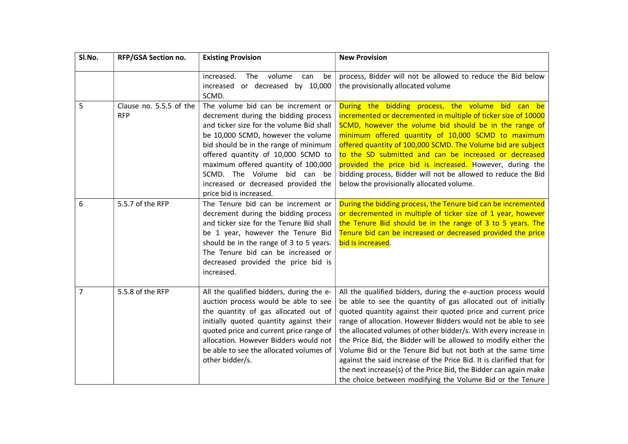| SI.No.         | RFP/GSA Section no.                   | <b>Existing Provision</b>                                                                                                                                                                                                                                                                                                                                                           | <b>New Provision</b>                                                                                                                                                                                                                                                                                                                                                                                                                                                                                                                                                                                                                                                        |  |  |
|----------------|---------------------------------------|-------------------------------------------------------------------------------------------------------------------------------------------------------------------------------------------------------------------------------------------------------------------------------------------------------------------------------------------------------------------------------------|-----------------------------------------------------------------------------------------------------------------------------------------------------------------------------------------------------------------------------------------------------------------------------------------------------------------------------------------------------------------------------------------------------------------------------------------------------------------------------------------------------------------------------------------------------------------------------------------------------------------------------------------------------------------------------|--|--|
|                |                                       | increased.<br>The<br>volume<br>can<br>be<br>increased or decreased by 10,000<br>SCMD.                                                                                                                                                                                                                                                                                               | process, Bidder will not be allowed to reduce the Bid below<br>the provisionally allocated volume                                                                                                                                                                                                                                                                                                                                                                                                                                                                                                                                                                           |  |  |
| 5              | Clause no. 5.5.5 of the<br><b>RFP</b> | The volume bid can be increment or<br>decrement during the bidding process<br>and ticker size for the volume Bid shall<br>be 10,000 SCMD, however the volume<br>bid should be in the range of minimum<br>offered quantity of 10,000 SCMD to<br>maximum offered quantity of 100,000<br>SCMD. The Volume bid can be<br>increased or decreased provided the<br>price bid is increased. | During the bidding process, the volume bid can be<br>incremented or decremented in multiple of ticker size of 10000<br>SCMD, however the volume bid should be in the range of<br>minimum offered quantity of 10,000 SCMD to maximum<br>offered quantity of 100,000 SCMD. The Volume bid are subject<br>to the SD submitted and can be increased or decreased<br>provided the price bid is increased. However, during the<br>bidding process, Bidder will not be allowed to reduce the Bid<br>below the provisionally allocated volume.                                                                                                                                      |  |  |
| 6              | 5.5.7 of the RFP                      | The Tenure bid can be increment or<br>decrement during the bidding process<br>and ticker size for the Tenure Bid shall<br>be 1 year, however the Tenure Bid<br>should be in the range of 3 to 5 years.<br>The Tenure bid can be increased or<br>decreased provided the price bid is<br>increased.                                                                                   | During the bidding process, the Tenure bid can be incremented<br>or decremented in multiple of ticker size of 1 year, however<br>the Tenure Bid should be in the range of 3 to 5 years. The<br>Tenure bid can be increased or decreased provided the price<br>bid is increased.                                                                                                                                                                                                                                                                                                                                                                                             |  |  |
| $\overline{7}$ | 5.5.8 of the RFP                      | All the qualified bidders, during the e-<br>auction process would be able to see<br>the quantity of gas allocated out of<br>initially quoted quantity against their<br>quoted price and current price range of<br>allocation. However Bidders would not<br>be able to see the allocated volumes of<br>other bidder/s.                                                               | All the qualified bidders, during the e-auction process would<br>be able to see the quantity of gas allocated out of initially<br>quoted quantity against their quoted price and current price<br>range of allocation. However Bidders would not be able to see<br>the allocated volumes of other bidder/s. With every increase in<br>the Price Bid, the Bidder will be allowed to modify either the<br>Volume Bid or the Tenure Bid but not both at the same time<br>against the said increase of the Price Bid. It is clarified that for<br>the next increase(s) of the Price Bid, the Bidder can again make<br>the choice between modifying the Volume Bid or the Tenure |  |  |